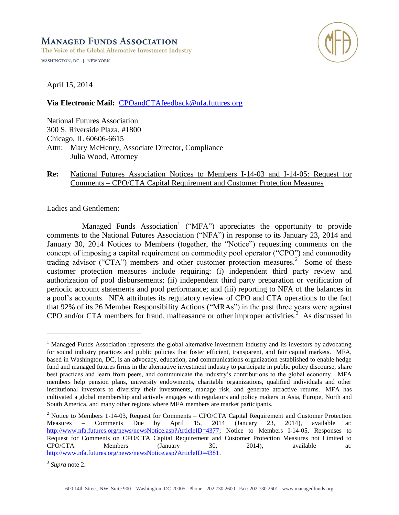# **MANAGED FUNDS ASSOCIATION**

The Voice of the Global Alternative Investment Industry WASHINGTON, DC | NEW YORK



April 15, 2014

**Via Electronic Mail:** [CPOandCTAfeedback@nfa.futures.org](mailto:CPOandCTAfeedback@nfa.futures.org)

National Futures Association 300 S. Riverside Plaza, #1800 Chicago, IL 60606-6615 Attn: Mary McHenry, Associate Director, Compliance Julia Wood, Attorney

## **Re:** National Futures Association Notices to Members I-14-03 and I-14-05: Request for Comments – CPO/CTA Capital Requirement and Customer Protection Measures

Ladies and Gentlemen:

Managed Funds Association<sup>1</sup> ("MFA") appreciates the opportunity to provide comments to the National Futures Association ("NFA") in response to its January 23, 2014 and January 30, 2014 Notices to Members (together, the "Notice") requesting comments on the concept of imposing a capital requirement on commodity pool operator ("CPO") and commodity trading advisor ("CTA") members and other customer protection measures.<sup>2</sup> Some of these customer protection measures include requiring: (i) independent third party review and authorization of pool disbursements; (ii) independent third party preparation or verification of periodic account statements and pool performance; and (iii) reporting to NFA of the balances in a pool's accounts. NFA attributes its regulatory review of CPO and CTA operations to the fact that 92% of its 26 Member Responsibility Actions ("MRAs") in the past three years were against CPO and/or CTA members for fraud, malfeasance or other improper activities. 3 As discussed in

<sup>&</sup>lt;sup>1</sup> Managed Funds Association represents the global alternative investment industry and its investors by advocating for sound industry practices and public policies that foster efficient, transparent, and fair capital markets. MFA, based in Washington, DC, is an advocacy, education, and communications organization established to enable hedge fund and managed futures firms in the alternative investment industry to participate in public policy discourse, share best practices and learn from peers, and communicate the industry's contributions to the global economy. MFA members help pension plans, university endowments, charitable organizations, qualified individuals and other institutional investors to diversify their investments, manage risk, and generate attractive returns. MFA has cultivated a global membership and actively engages with regulators and policy makers in Asia, Europe, North and South America, and many other regions where MFA members are market participants.

<sup>&</sup>lt;sup>2</sup> Notice to Members 1-14-03, Request for Comments – CPO/CTA Capital Requirement and Customer Protection Measures – Comments Due by April 15, 2014 (January 23, 2014), available at: [http://www.nfa.futures.org/news/newsNotice.asp?ArticleID=4377;](http://www.nfa.futures.org/news/newsNotice.asp?ArticleID=4377) Notice to Members I-14-05, Responses to Request for Comments on CPO/CTA Capital Requirement and Customer Protection Measures not Limited to CPO/CTA Members (January 30, 2014), available at: [http://www.nfa.futures.org/news/newsNotice.asp?ArticleID=4381.](http://www.nfa.futures.org/news/newsNotice.asp?ArticleID=4381)

<sup>3</sup> *Supra* note 2.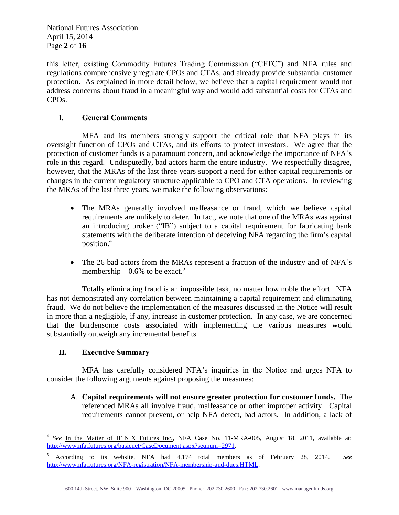National Futures Association April 15, 2014 Page **2** of **16**

this letter, existing Commodity Futures Trading Commission ("CFTC") and NFA rules and regulations comprehensively regulate CPOs and CTAs, and already provide substantial customer protection. As explained in more detail below, we believe that a capital requirement would not address concerns about fraud in a meaningful way and would add substantial costs for CTAs and CPOs.

# **I. General Comments**

MFA and its members strongly support the critical role that NFA plays in its oversight function of CPOs and CTAs, and its efforts to protect investors. We agree that the protection of customer funds is a paramount concern, and acknowledge the importance of NFA's role in this regard. Undisputedly, bad actors harm the entire industry. We respectfully disagree, however, that the MRAs of the last three years support a need for either capital requirements or changes in the current regulatory structure applicable to CPO and CTA operations. In reviewing the MRAs of the last three years, we make the following observations:

- The MRAs generally involved malfeasance or fraud, which we believe capital requirements are unlikely to deter. In fact, we note that one of the MRAs was against an introducing broker ("IB") subject to a capital requirement for fabricating bank statements with the deliberate intention of deceiving NFA regarding the firm's capital position.<sup>4</sup>
- The 26 bad actors from the MRAs represent a fraction of the industry and of NFA's membership— $0.6\%$  to be exact.<sup>5</sup>

Totally eliminating fraud is an impossible task, no matter how noble the effort. NFA has not demonstrated any correlation between maintaining a capital requirement and eliminating fraud. We do not believe the implementation of the measures discussed in the Notice will result in more than a negligible, if any, increase in customer protection. In any case, we are concerned that the burdensome costs associated with implementing the various measures would substantially outweigh any incremental benefits.

# **II. Executive Summary**

MFA has carefully considered NFA's inquiries in the Notice and urges NFA to consider the following arguments against proposing the measures:

A. **Capital requirements will not ensure greater protection for customer funds.** The referenced MRAs all involve fraud, malfeasance or other improper activity. Capital requirements cannot prevent, or help NFA detect, bad actors. In addition, a lack of

 $\overline{a}$ 4 See In the Matter of IFINIX Futures Inc., NFA Case No. 11-MRA-005, August 18, 2011, available at: [http://www.nfa.futures.org/basicnet/CaseDocument.aspx?seqnum=2971.](http://www.nfa.futures.org/basicnet/CaseDocument.aspx?seqnum=2971)

<sup>5</sup> According to its website, NFA had 4,174 total members as of February 28, 2014. *See*  [http://www.nfa.futures.org/NFA-registration/NFA-membership-and-dues.HTML.](http://www.nfa.futures.org/NFA-registration/NFA-membership-and-dues.HTML)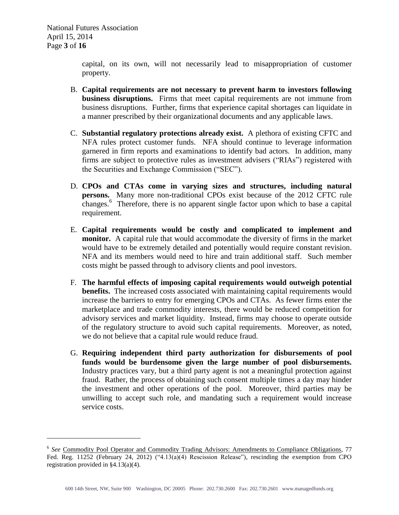$\overline{a}$ 

capital, on its own, will not necessarily lead to misappropriation of customer property.

- B. **Capital requirements are not necessary to prevent harm to investors following business disruptions.** Firms that meet capital requirements are not immune from business disruptions. Further, firms that experience capital shortages can liquidate in a manner prescribed by their organizational documents and any applicable laws.
- C. **Substantial regulatory protections already exist.** A plethora of existing CFTC and NFA rules protect customer funds. NFA should continue to leverage information garnered in firm reports and examinations to identify bad actors. In addition, many firms are subject to protective rules as investment advisers ("RIAs") registered with the Securities and Exchange Commission ("SEC").
- D. **CPOs and CTAs come in varying sizes and structures, including natural persons.** Many more non-traditional CPOs exist because of the 2012 CFTC rule changes.<sup>6</sup> Therefore, there is no apparent single factor upon which to base a capital requirement.
- E. **Capital requirements would be costly and complicated to implement and monitor.** A capital rule that would accommodate the diversity of firms in the market would have to be extremely detailed and potentially would require constant revision. NFA and its members would need to hire and train additional staff. Such member costs might be passed through to advisory clients and pool investors.
- F. **The harmful effects of imposing capital requirements would outweigh potential benefits.** The increased costs associated with maintaining capital requirements would increase the barriers to entry for emerging CPOs and CTAs. As fewer firms enter the marketplace and trade commodity interests, there would be reduced competition for advisory services and market liquidity. Instead, firms may choose to operate outside of the regulatory structure to avoid such capital requirements. Moreover, as noted, we do not believe that a capital rule would reduce fraud.
- G. **Requiring independent third party authorization for disbursements of pool funds would be burdensome given the large number of pool disbursements.**  Industry practices vary, but a third party agent is not a meaningful protection against fraud.Rather, the process of obtaining such consent multiple times a day may hinder the investment and other operations of the pool. Moreover, third parties may be unwilling to accept such role, and mandating such a requirement would increase service costs.

<sup>&</sup>lt;sup>6</sup> See Commodity Pool Operator and Commodity Trading Advisors: Amendments to Compliance Obligations, 77 Fed. Reg. 11252 (February 24, 2012) ("4.13(a)(4) Rescission Release"), rescinding the exemption from CPO registration provided in §4.13(a)(4).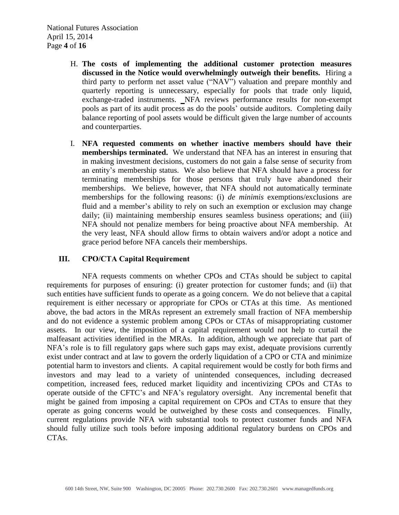National Futures Association April 15, 2014 Page **4** of **16**

- H. **The costs of implementing the additional customer protection measures discussed in the Notice would overwhelmingly outweigh their benefits.** Hiring a third party to perform net asset value ("NAV") valuation and prepare monthly and quarterly reporting is unnecessary, especially for pools that trade only liquid, exchange-traded instruments. NFA reviews performance results for non-exempt pools as part of its audit process as do the pools' outside auditors. Completing daily balance reporting of pool assets would be difficult given the large number of accounts and counterparties.
- I. **NFA requested comments on whether inactive members should have their memberships terminated.** We understand that NFA has an interest in ensuring that in making investment decisions, customers do not gain a false sense of security from an entity's membership status. We also believe that NFA should have a process for terminating memberships for those persons that truly have abandoned their memberships. We believe, however, that NFA should not automatically terminate memberships for the following reasons: (i) *de minimis* exemptions/exclusions are fluid and a member's ability to rely on such an exemption or exclusion may change daily; (ii) maintaining membership ensures seamless business operations; and (iii) NFA should not penalize members for being proactive about NFA membership. At the very least, NFA should allow firms to obtain waivers and/or adopt a notice and grace period before NFA cancels their memberships.

## **III. CPO/CTA Capital Requirement**

NFA requests comments on whether CPOs and CTAs should be subject to capital requirements for purposes of ensuring: (i) greater protection for customer funds; and (ii) that such entities have sufficient funds to operate as a going concern. We do not believe that a capital requirement is either necessary or appropriate for CPOs or CTAs at this time. As mentioned above, the bad actors in the MRAs represent an extremely small fraction of NFA membership and do not evidence a systemic problem among CPOs or CTAs of misappropriating customer assets. In our view, the imposition of a capital requirement would not help to curtail the malfeasant activities identified in the MRAs. In addition, although we appreciate that part of NFA's role is to fill regulatory gaps where such gaps may exist, adequate provisions currently exist under contract and at law to govern the orderly liquidation of a CPO or CTA and minimize potential harm to investors and clients. A capital requirement would be costly for both firms and investors and may lead to a variety of unintended consequences, including decreased competition, increased fees, reduced market liquidity and incentivizing CPOs and CTAs to operate outside of the CFTC's and NFA's regulatory oversight. Any incremental benefit that might be gained from imposing a capital requirement on CPOs and CTAs to ensure that they operate as going concerns would be outweighed by these costs and consequences. Finally, current regulations provide NFA with substantial tools to protect customer funds and NFA should fully utilize such tools before imposing additional regulatory burdens on CPOs and CTAs.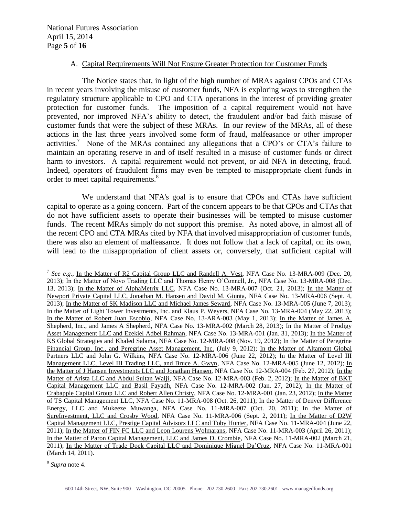National Futures Association April 15, 2014 Page **5** of **16**

#### A. Capital Requirements Will Not Ensure Greater Protection for Customer Funds

The Notice states that, in light of the high number of MRAs against CPOs and CTAs in recent years involving the misuse of customer funds, NFA is exploring ways to strengthen the regulatory structure applicable to CPO and CTA operations in the interest of providing greater protection for customer funds. The imposition of a capital requirement would not have prevented, nor improved NFA's ability to detect, the fraudulent and/or bad faith misuse of customer funds that were the subject of these MRAs. In our review of the MRAs, all of these actions in the last three years involved some form of fraud, malfeasance or other improper activities. 7 None of the MRAs contained any allegations that a CPO's or CTA's failure to maintain an operating reserve in and of itself resulted in a misuse of customer funds or direct harm to investors. A capital requirement would not prevent, or aid NFA in detecting, fraud. Indeed, operators of fraudulent firms may even be tempted to misappropriate client funds in order to meet capital requirements.<sup>8</sup>

We understand that NFA's goal is to ensure that CPOs and CTAs have sufficient capital to operate as a going concern. Part of the concern appears to be that CPOs and CTAs that do not have sufficient assets to operate their businesses will be tempted to misuse customer funds. The recent MRAs simply do not support this premise. As noted above, in almost all of the recent CPO and CTA MRAs cited by NFA that involved misappropriation of customer funds, there was also an element of malfeasance. It does not follow that a lack of capital, on its own, will lead to the misappropriation of client assets or, conversely, that sufficient capital will

8 *Supra* note 4.

<sup>&</sup>lt;sup>7</sup> See e.g., In the Matter of R2 Capital Group LLC and Randell A. Vest, NFA Case No. 13-MRA-009 (Dec. 20, 2013); In the Matter of Novo Trading LLC and Thomas Henry O'Connell, Jr., NFA Case No. 13-MRA-008 (Dec. 13, 2013); In the Matter of AlphaMetrix LLC, NFA Case No. 13-MRA-007 (Oct. 21, 2013); In the Matter of Newport Private Capital LLC, Jonathan M. Hansen and David M. Giunta, NFA Case No. 13-MRA-006 (Sept. 4, 2013); In the Matter of SK Madison LLC and Michael James Seward, NFA Case No. 13-MRA-005 (June 7, 2013); In the Matter of Light Tower Investments, Inc. and Klaus P. Weyers, NFA Case No. 13-MRA-004 (May 22, 2013); In the Matter of Robert Juan Escobio, NFA Case No. 13-ARA-003 (May 1, 2013); In the Matter of James A. Shepherd, Inc., and James A Shepherd, NFA Case No. 13-MRA-002 (March 28, 2013); In the Matter of Prodigy Asset Management LLC and Ezekiel Adbel Rahman, NFA Case No. 13-MRA-001 (Jan. 31, 2013); In the Matter of KS Global Strategies and Khaled Salama, NFA Case No. 12-MRA-008 (Nov. 19, 2012); In the Matter of Peregrine Financial Group, Inc., and Peregrine Asset Management, Inc. (July 9, 2012); In the Matter of Altamont Global Partners LLC and John G. Wilkins, NFA Case No. 12-MRA-006 (June 22, 2012); In the Matter of Level III Management LLC, Level III Trading LLC, and Bruce A. Gwyn, NFA Case No. 12-MRA-005 (June 12, 2012); In the Matter of J Hansen Investments LLC and Jonathan Hansen, NFA Case No. 12-MRA-004 (Feb. 27, 2012); In the Matter of Arista LLC and Abdul Sultan Walji, NFA Case No. 12-MRA-003 (Feb. 2, 2012); In the Matter of BKT Capital Management LLC and Basil Fayadh, NFA Case No. 12-MRA-002 (Jan. 27, 2012); In the Matter of Crabapple Capital Group LLC and Robert Allen Christy, NFA Case No. 12-MRA-001 (Jan. 23, 2012); In the Matter of TS Capital Management LLC, NFA Case No. 11-MRA-008 (Oct. 26, 2011); In the Matter of Denver Difference Energy, LLC and Mukeeze Muwanga, NFA Case No. 11-MRA-007 (Oct. 20, 2011); In the Matter of SureInvestment, LLC and Crosby Wood, NFA Case No. 11-MRA-006 (Sept. 2, 2011); In the Matter of D2W Capital Management LLC, Prestige Capital Advisors LLC and Toby Hunter, NFA Case No. 11-MRA-004 (June 22, 2011); In the Matter of FIN FC LLC and Leon Lourens Wolmarans, NFA Case No. 11-MRA-003 (April 26, 2011); In the Matter of Paron Capital Management, LLC and James D. Crombie, NFA Case No. 11-MRA-002 (March 21, 2011); In the Matter of Trade Dock Capital LLC and Dominique Miguel Da'Cruz, NFA Case No. 11-MRA-001 (March 14, 2011).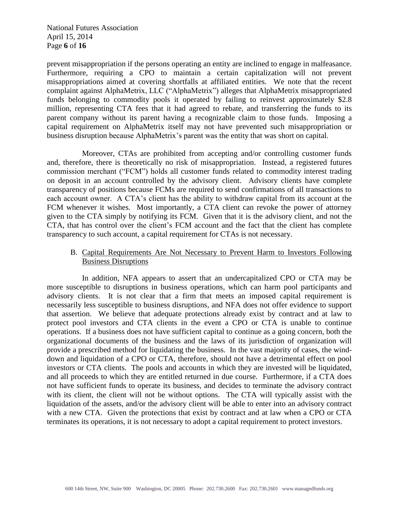National Futures Association April 15, 2014 Page **6** of **16**

prevent misappropriation if the persons operating an entity are inclined to engage in malfeasance. Furthermore, requiring a CPO to maintain a certain capitalization will not prevent misappropriations aimed at covering shortfalls at affiliated entities. We note that the recent complaint against AlphaMetrix, LLC ("AlphaMetrix") alleges that AlphaMetrix misappropriated funds belonging to commodity pools it operated by failing to reinvest approximately \$2.8 million, representing CTA fees that it had agreed to rebate, and transferring the funds to its parent company without its parent having a recognizable claim to those funds. Imposing a capital requirement on AlphaMetrix itself may not have prevented such misappropriation or business disruption because AlphaMetrix's parent was the entity that was short on capital.

Moreover, CTAs are prohibited from accepting and/or controlling customer funds and, therefore, there is theoretically no risk of misappropriation. Instead, a registered futures commission merchant ("FCM") holds all customer funds related to commodity interest trading on deposit in an account controlled by the advisory client. Advisory clients have complete transparency of positions because FCMs are required to send confirmations of all transactions to each account owner. A CTA's client has the ability to withdraw capital from its account at the FCM whenever it wishes. Most importantly, a CTA client can revoke the power of attorney given to the CTA simply by notifying its FCM. Given that it is the advisory client, and not the CTA, that has control over the client's FCM account and the fact that the client has complete transparency to such account, a capital requirement for CTAs is not necessary.

## B. Capital Requirements Are Not Necessary to Prevent Harm to Investors Following Business Disruptions

In addition, NFA appears to assert that an undercapitalized CPO or CTA may be more susceptible to disruptions in business operations, which can harm pool participants and advisory clients. It is not clear that a firm that meets an imposed capital requirement is necessarily less susceptible to business disruptions, and NFA does not offer evidence to support that assertion. We believe that adequate protections already exist by contract and at law to protect pool investors and CTA clients in the event a CPO or CTA is unable to continue operations. If a business does not have sufficient capital to continue as a going concern, both the organizational documents of the business and the laws of its jurisdiction of organization will provide a prescribed method for liquidating the business. In the vast majority of cases, the winddown and liquidation of a CPO or CTA, therefore, should not have a detrimental effect on pool investors or CTA clients. The pools and accounts in which they are invested will be liquidated, and all proceeds to which they are entitled returned in due course. Furthermore, if a CTA does not have sufficient funds to operate its business, and decides to terminate the advisory contract with its client, the client will not be without options. The CTA will typically assist with the liquidation of the assets, and/or the advisory client will be able to enter into an advisory contract with a new CTA. Given the protections that exist by contract and at law when a CPO or CTA terminates its operations, it is not necessary to adopt a capital requirement to protect investors.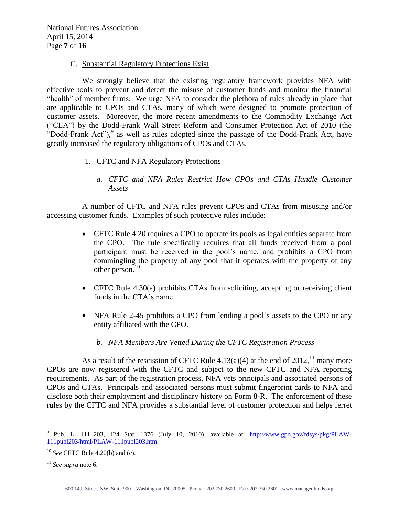National Futures Association April 15, 2014 Page **7** of **16**

#### C. Substantial Regulatory Protections Exist

We strongly believe that the existing regulatory framework provides NFA with effective tools to prevent and detect the misuse of customer funds and monitor the financial "health" of member firms. We urge NFA to consider the plethora of rules already in place that are applicable to CPOs and CTAs, many of which were designed to promote protection of customer assets. Moreover, the more recent amendments to the Commodity Exchange Act ("CEA") by the Dodd-Frank Wall Street Reform and Consumer Protection Act of 2010 (the "Dodd-Frank Act"),<sup>9</sup> as well as rules adopted since the passage of the Dodd-Frank Act, have greatly increased the regulatory obligations of CPOs and CTAs.

- 1. CFTC and NFA Regulatory Protections
	- *a. CFTC and NFA Rules Restrict How CPOs and CTAs Handle Customer Assets*

A number of CFTC and NFA rules prevent CPOs and CTAs from misusing and/or accessing customer funds. Examples of such protective rules include:

- CFTC Rule 4.20 requires a CPO to operate its pools as legal entities separate from the CPO. The rule specifically requires that all funds received from a pool participant must be received in the pool's name, and prohibits a CPO from commingling the property of any pool that it operates with the property of any other person. $10$
- CFTC Rule 4.30(a) prohibits CTAs from soliciting, accepting or receiving client funds in the CTA's name.
- NFA Rule 2-45 prohibits a CPO from lending a pool's assets to the CPO or any entity affiliated with the CPO.
	- *b. NFA Members Are Vetted During the CFTC Registration Process*

As a result of the rescission of CFTC Rule 4.13(a)(4) at the end of  $2012$ ,<sup>11</sup> many more CPOs are now registered with the CFTC and subject to the new CFTC and NFA reporting requirements. As part of the registration process, NFA vets principals and associated persons of CPOs and CTAs. Principals and associated persons must submit fingerprint cards to NFA and disclose both their employment and disciplinary history on Form 8-R. The enforcement of these rules by the CFTC and NFA provides a substantial level of customer protection and helps ferret

<sup>&</sup>lt;sup>9</sup> Pub. L. 111–203, 124 Stat. 1376 (July 10, 2010), available at: [http://www.gpo.gov/fdsys/pkg/PLAW-](http://www.gpo.gov/fdsys/pkg/PLAW-111publ203/html/PLAW-111publ203.htm)[111publ203/html/PLAW-111publ203.htm.](http://www.gpo.gov/fdsys/pkg/PLAW-111publ203/html/PLAW-111publ203.htm)

<sup>10</sup> *See* CFTC Rule 4.20(b) and (c).

<sup>11</sup> *See supra* note 6.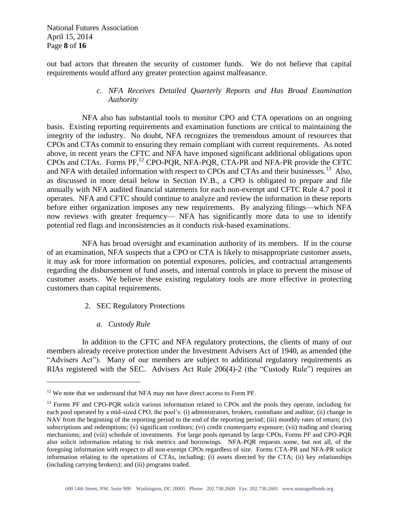National Futures Association April 15, 2014 Page **8** of **16**

out bad actors that threaten the security of customer funds. We do not believe that capital requirements would afford any greater protection against malfeasance.

## *c. NFA Receives Detailed Quarterly Reports and Has Broad Examination Authority*

NFA also has substantial tools to monitor CPO and CTA operations on an ongoing basis. Existing reporting requirements and examination functions are critical to maintaining the integrity of the industry. No doubt, NFA recognizes the tremendous amount of resources that CPOs and CTAs commit to ensuring they remain compliant with current requirements. As noted above, in recent years the CFTC and NFA have imposed significant additional obligations upon CPOs and CTAs. Forms PF, <sup>12</sup> CPO-PQR, NFA-PQR, CTA-PR and NFA-PR provide the CFTC and NFA with detailed information with respect to CPOs and CTAs and their businesses.<sup>13</sup> Also, as discussed in more detail below in Section IV.B., a CPO is obligated to prepare and file annually with NFA audited financial statements for each non-exempt and CFTC Rule 4.7 pool it operates. NFA and CFTC should continue to analyze and review the information in these reports before either organization imposes any new requirements. By analyzing filings—which NFA now reviews with greater frequency— NFA has significantly more data to use to identify potential red flags and inconsistencies as it conducts risk-based examinations.

NFA has broad oversight and examination authority of its members. If in the course of an examination, NFA suspects that a CPO or CTA is likely to misappropriate customer assets, it may ask for more information on potential exposures, policies, and contractual arrangements regarding the disbursement of fund assets, and internal controls in place to prevent the misuse of customer assets. We believe these existing regulatory tools are more effective in protecting customers than capital requirements.

- 2. SEC Regulatory Protections
	- *a. Custody Rule*

 $\overline{a}$ 

In addition to the CFTC and NFA regulatory protections, the clients of many of our members already receive protection under the Investment Advisers Act of 1940, as amended (the "Advisers Act"). Many of our members are subject to additional regulatory requirements as RIAs registered with the SEC. Advisers Act Rule 206(4)-2 (the "Custody Rule") requires an

 $12$  We note that we understand that NFA may not have direct access to Form PF.

<sup>&</sup>lt;sup>13</sup> Forms PF and CPO-PQR solicit various information related to CPOs and the pools they operate, including for each pool operated by a mid-sized CPO, the pool's: (i) administrators, brokers, custodians and auditor; (ii) change in NAV from the beginning of the reporting period to the end of the reporting period; (iii) monthly rates of return; (iv) subscriptions and redemptions; (v) significant creditors; (vi) credit counterparty exposure; (vii) trading and clearing mechanisms; and (viii) schedule of investments. For large pools operated by large CPOs, Forms PF and CPO-PQR also solicit information relating to risk metrics and borrowings. NFA-PQR requests some, but not all, of the foregoing information with respect to all non-exempt CPOs regardless of size. Forms CTA-PR and NFA-PR solicit information relating to the operations of CTAs, including: (i) assets directed by the CTA; (ii) key relationships (including carrying brokers); and (iii) programs traded.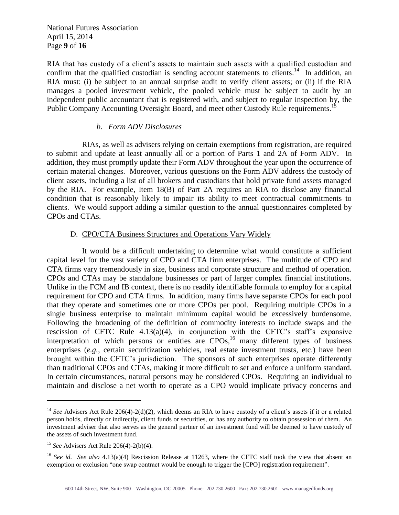National Futures Association April 15, 2014 Page **9** of **16**

RIA that has custody of a client's assets to maintain such assets with a qualified custodian and confirm that the qualified custodian is sending account statements to clients.<sup>14</sup> In addition, an RIA must: (i) be subject to an annual surprise audit to verify client assets; or (ii) if the RIA manages a pooled investment vehicle, the pooled vehicle must be subject to audit by an independent public accountant that is registered with, and subject to regular inspection by, the Public Company Accounting Oversight Board, and meet other Custody Rule requirements.<sup>15</sup>

#### *b. Form ADV Disclosures*

RIAs, as well as advisers relying on certain exemptions from registration, are required to submit and update at least annually all or a portion of Parts 1 and 2A of Form ADV. In addition, they must promptly update their Form ADV throughout the year upon the occurrence of certain material changes. Moreover, various questions on the Form ADV address the custody of client assets, including a list of all brokers and custodians that hold private fund assets managed by the RIA. For example, Item 18(B) of Part 2A requires an RIA to disclose any financial condition that is reasonably likely to impair its ability to meet contractual commitments to clients. We would support adding a similar question to the annual questionnaires completed by CPOs and CTAs.

## D. CPO/CTA Business Structures and Operations Vary Widely

It would be a difficult undertaking to determine what would constitute a sufficient capital level for the vast variety of CPO and CTA firm enterprises. The multitude of CPO and CTA firms vary tremendously in size, business and corporate structure and method of operation. CPOs and CTAs may be standalone businesses or part of larger complex financial institutions. Unlike in the FCM and IB context, there is no readily identifiable formula to employ for a capital requirement for CPO and CTA firms. In addition, many firms have separate CPOs for each pool that they operate and sometimes one or more CPOs per pool. Requiring multiple CPOs in a single business enterprise to maintain minimum capital would be excessively burdensome. Following the broadening of the definition of commodity interests to include swaps and the rescission of CFTC Rule  $4.13(a)(4)$ , in conjunction with the CFTC's staff's expansive interpretation of which persons or entities are CPOs,<sup>16</sup> many different types of business enterprises (*e.g.*, certain securitization vehicles, real estate investment trusts, etc.) have been brought within the CFTC's jurisdiction. The sponsors of such enterprises operate differently than traditional CPOs and CTAs, making it more difficult to set and enforce a uniform standard. In certain circumstances, natural persons may be considered CPOs. Requiring an individual to maintain and disclose a net worth to operate as a CPO would implicate privacy concerns and

<sup>&</sup>lt;sup>14</sup> See Advisers Act Rule 206(4)-2(d)(2), which deems an RIA to have custody of a client's assets if it or a related person holds, directly or indirectly, client funds or securities, or has any authority to obtain possession of them. An investment adviser that also serves as the general partner of an investment fund will be deemed to have custody of the assets of such investment fund.

<sup>15</sup> *See* Advisers Act Rule 206(4)-2(b)(4).

<sup>16</sup> *See id. See also* 4.13(a)(4) Rescission Release at 11263, where the CFTC staff took the view that absent an exemption or exclusion "one swap contract would be enough to trigger the [CPO] registration requirement".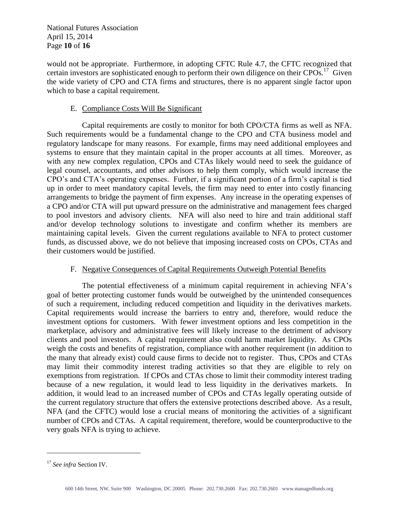National Futures Association April 15, 2014 Page **10** of **16**

would not be appropriate. Furthermore, in adopting CFTC Rule 4.7, the CFTC recognized that certain investors are sophisticated enough to perform their own diligence on their CPOs.<sup>17</sup> Given the wide variety of CPO and CTA firms and structures, there is no apparent single factor upon which to base a capital requirement.

## E. Compliance Costs Will Be Significant

Capital requirements are costly to monitor for both CPO/CTA firms as well as NFA. Such requirements would be a fundamental change to the CPO and CTA business model and regulatory landscape for many reasons. For example, firms may need additional employees and systems to ensure that they maintain capital in the proper accounts at all times. Moreover, as with any new complex regulation, CPOs and CTAs likely would need to seek the guidance of legal counsel, accountants, and other advisors to help them comply, which would increase the CPO's and CTA's operating expenses. Further, if a significant portion of a firm's capital is tied up in order to meet mandatory capital levels, the firm may need to enter into costly financing arrangements to bridge the payment of firm expenses. Any increase in the operating expenses of a CPO and/or CTA will put upward pressure on the administrative and management fees charged to pool investors and advisory clients. NFA will also need to hire and train additional staff and/or develop technology solutions to investigate and confirm whether its members are maintaining capital levels. Given the current regulations available to NFA to protect customer funds, as discussed above, we do not believe that imposing increased costs on CPOs, CTAs and their customers would be justified.

## F. Negative Consequences of Capital Requirements Outweigh Potential Benefits

The potential effectiveness of a minimum capital requirement in achieving NFA's goal of better protecting customer funds would be outweighed by the unintended consequences of such a requirement, including reduced competition and liquidity in the derivatives markets. Capital requirements would increase the barriers to entry and, therefore, would reduce the investment options for customers. With fewer investment options and less competition in the marketplace, advisory and administrative fees will likely increase to the detriment of advisory clients and pool investors. A capital requirement also could harm market liquidity. As CPOs weigh the costs and benefits of registration, compliance with another requirement (in addition to the many that already exist) could cause firms to decide not to register. Thus, CPOs and CTAs may limit their commodity interest trading activities so that they are eligible to rely on exemptions from registration. If CPOs and CTAs chose to limit their commodity interest trading because of a new regulation, it would lead to less liquidity in the derivatives markets. In addition, it would lead to an increased number of CPOs and CTAs legally operating outside of the current regulatory structure that offers the extensive protections described above. As a result, NFA (and the CFTC) would lose a crucial means of monitoring the activities of a significant number of CPOs and CTAs. A capital requirement, therefore, would be counterproductive to the very goals NFA is trying to achieve.

<sup>17</sup> *See infra* Section IV.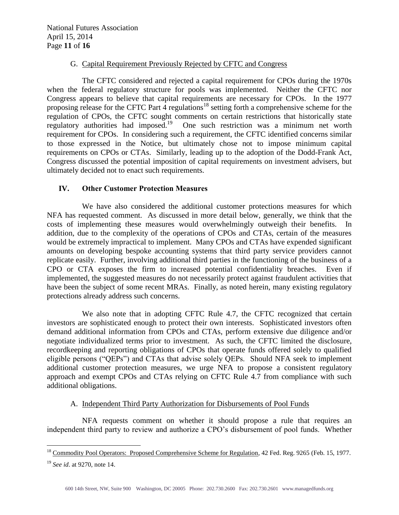## G. Capital Requirement Previously Rejected by CFTC and Congress

The CFTC considered and rejected a capital requirement for CPOs during the 1970s when the federal regulatory structure for pools was implemented. Neither the CFTC nor Congress appears to believe that capital requirements are necessary for CPOs. In the 1977 proposing release for the CFTC Part  $\frac{1}{4}$  regulations<sup>18</sup> setting forth a comprehensive scheme for the regulation of CPOs, the CFTC sought comments on certain restrictions that historically state regulatory authorities had imposed.<sup>19</sup> One such restriction was a minimum net worth requirement for CPOs. In considering such a requirement, the CFTC identified concerns similar to those expressed in the Notice, but ultimately chose not to impose minimum capital requirements on CPOs or CTAs. Similarly, leading up to the adoption of the Dodd-Frank Act, Congress discussed the potential imposition of capital requirements on investment advisers, but ultimately decided not to enact such requirements.

## **IV. Other Customer Protection Measures**

We have also considered the additional customer protections measures for which NFA has requested comment. As discussed in more detail below, generally, we think that the costs of implementing these measures would overwhelmingly outweigh their benefits. In addition, due to the complexity of the operations of CPOs and CTAs, certain of the measures would be extremely impractical to implement. Many CPOs and CTAs have expended significant amounts on developing bespoke accounting systems that third party service providers cannot replicate easily. Further, involving additional third parties in the functioning of the business of a CPO or CTA exposes the firm to increased potential confidentiality breaches. Even if implemented, the suggested measures do not necessarily protect against fraudulent activities that have been the subject of some recent MRAs. Finally, as noted herein, many existing regulatory protections already address such concerns.

We also note that in adopting CFTC Rule 4.7, the CFTC recognized that certain investors are sophisticated enough to protect their own interests. Sophisticated investors often demand additional information from CPOs and CTAs, perform extensive due diligence and/or negotiate individualized terms prior to investment. As such, the CFTC limited the disclosure, recordkeeping and reporting obligations of CPOs that operate funds offered solely to qualified eligible persons ("QEPs") and CTAs that advise solely QEPs. Should NFA seek to implement additional customer protection measures, we urge NFA to propose a consistent regulatory approach and exempt CPOs and CTAs relying on CFTC Rule 4.7 from compliance with such additional obligations.

## A. Independent Third Party Authorization for Disbursements of Pool Funds

NFA requests comment on whether it should propose a rule that requires an independent third party to review and authorize a CPO's disbursement of pool funds. Whether

<sup>&</sup>lt;sup>18</sup> Commodity Pool Operators: Proposed Comprehensive Scheme for Regulation, 42 Fed. Reg. 9265 (Feb. 15, 1977.

<sup>19</sup> *See id*. at 9270, note 14.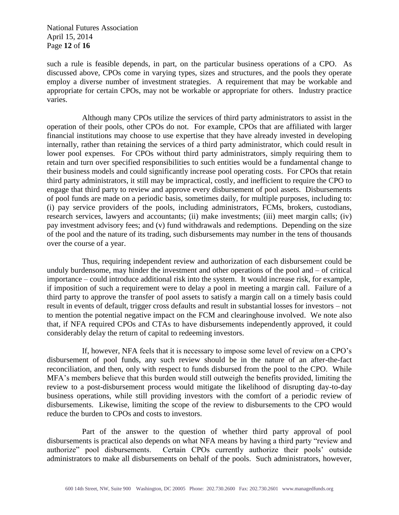National Futures Association April 15, 2014 Page **12** of **16**

such a rule is feasible depends, in part, on the particular business operations of a CPO. As discussed above, CPOs come in varying types, sizes and structures, and the pools they operate employ a diverse number of investment strategies. A requirement that may be workable and appropriate for certain CPOs, may not be workable or appropriate for others. Industry practice varies.

Although many CPOs utilize the services of third party administrators to assist in the operation of their pools, other CPOs do not. For example, CPOs that are affiliated with larger financial institutions may choose to use expertise that they have already invested in developing internally, rather than retaining the services of a third party administrator, which could result in lower pool expenses. For CPOs without third party administrators, simply requiring them to retain and turn over specified responsibilities to such entities would be a fundamental change to their business models and could significantly increase pool operating costs. For CPOs that retain third party administrators, it still may be impractical, costly, and inefficient to require the CPO to engage that third party to review and approve every disbursement of pool assets. Disbursements of pool funds are made on a periodic basis, sometimes daily, for multiple purposes, including to: (i) pay service providers of the pools, including administrators, FCMs, brokers, custodians, research services, lawyers and accountants; (ii) make investments; (iii) meet margin calls; (iv) pay investment advisory fees; and (v) fund withdrawals and redemptions. Depending on the size of the pool and the nature of its trading, such disbursements may number in the tens of thousands over the course of a year.

Thus, requiring independent review and authorization of each disbursement could be unduly burdensome, may hinder the investment and other operations of the pool and – of critical importance – could introduce additional risk into the system. It would increase risk, for example, if imposition of such a requirement were to delay a pool in meeting a margin call. Failure of a third party to approve the transfer of pool assets to satisfy a margin call on a timely basis could result in events of default, trigger cross defaults and result in substantial losses for investors – not to mention the potential negative impact on the FCM and clearinghouse involved. We note also that, if NFA required CPOs and CTAs to have disbursements independently approved, it could considerably delay the return of capital to redeeming investors.

If, however, NFA feels that it is necessary to impose some level of review on a CPO's disbursement of pool funds, any such review should be in the nature of an after-the-fact reconciliation, and then, only with respect to funds disbursed from the pool to the CPO. While MFA's members believe that this burden would still outweigh the benefits provided, limiting the review to a post-disbursement process would mitigate the likelihood of disrupting day-to-day business operations, while still providing investors with the comfort of a periodic review of disbursements. Likewise, limiting the scope of the review to disbursements to the CPO would reduce the burden to CPOs and costs to investors.

Part of the answer to the question of whether third party approval of pool disbursements is practical also depends on what NFA means by having a third party "review and authorize" pool disbursements. Certain CPOs currently authorize their pools' outside administrators to make all disbursements on behalf of the pools. Such administrators, however,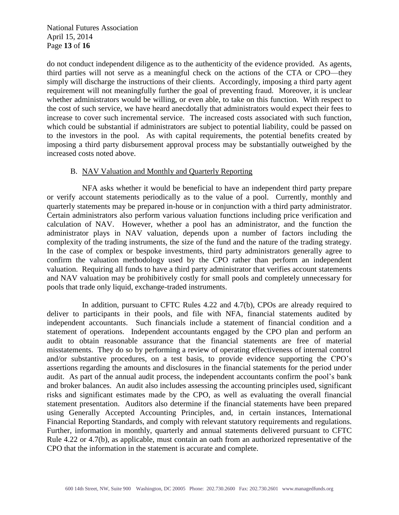National Futures Association April 15, 2014 Page **13** of **16**

do not conduct independent diligence as to the authenticity of the evidence provided. As agents, third parties will not serve as a meaningful check on the actions of the CTA or CPO—they simply will discharge the instructions of their clients. Accordingly, imposing a third party agent requirement will not meaningfully further the goal of preventing fraud. Moreover, it is unclear whether administrators would be willing, or even able, to take on this function. With respect to the cost of such service, we have heard anecdotally that administrators would expect their fees to increase to cover such incremental service. The increased costs associated with such function, which could be substantial if administrators are subject to potential liability, could be passed on to the investors in the pool. As with capital requirements, the potential benefits created by imposing a third party disbursement approval process may be substantially outweighed by the increased costs noted above.

## B. NAV Valuation and Monthly and Quarterly Reporting

NFA asks whether it would be beneficial to have an independent third party prepare or verify account statements periodically as to the value of a pool. Currently, monthly and quarterly statements may be prepared in-house or in conjunction with a third party administrator. Certain administrators also perform various valuation functions including price verification and calculation of NAV. However, whether a pool has an administrator, and the function the administrator plays in NAV valuation, depends upon a number of factors including the complexity of the trading instruments, the size of the fund and the nature of the trading strategy. In the case of complex or bespoke investments, third party administrators generally agree to confirm the valuation methodology used by the CPO rather than perform an independent valuation. Requiring all funds to have a third party administrator that verifies account statements and NAV valuation may be prohibitively costly for small pools and completely unnecessary for pools that trade only liquid, exchange-traded instruments.

In addition, pursuant to CFTC Rules 4.22 and 4.7(b), CPOs are already required to deliver to participants in their pools, and file with NFA, financial statements audited by independent accountants. Such financials include a statement of financial condition and a statement of operations. Independent accountants engaged by the CPO plan and perform an audit to obtain reasonable assurance that the financial statements are free of material misstatements. They do so by performing a review of operating effectiveness of internal control and/or substantive procedures, on a test basis, to provide evidence supporting the CPO's assertions regarding the amounts and disclosures in the financial statements for the period under audit. As part of the annual audit process, the independent accountants confirm the pool's bank and broker balances. An audit also includes assessing the accounting principles used, significant risks and significant estimates made by the CPO, as well as evaluating the overall financial statement presentation. Auditors also determine if the financial statements have been prepared using Generally Accepted Accounting Principles, and, in certain instances, International Financial Reporting Standards, and comply with relevant statutory requirements and regulations. Further, information in monthly, quarterly and annual statements delivered pursuant to CFTC Rule 4.22 or 4.7(b), as applicable, must contain an oath from an authorized representative of the CPO that the information in the statement is accurate and complete.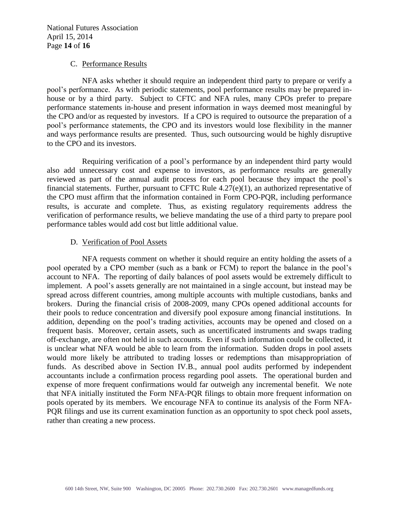National Futures Association April 15, 2014 Page **14** of **16**

#### C. Performance Results

NFA asks whether it should require an independent third party to prepare or verify a pool's performance. As with periodic statements, pool performance results may be prepared inhouse or by a third party. Subject to CFTC and NFA rules, many CPOs prefer to prepare performance statements in-house and present information in ways deemed most meaningful by the CPO and/or as requested by investors. If a CPO is required to outsource the preparation of a pool's performance statements, the CPO and its investors would lose flexibility in the manner and ways performance results are presented. Thus, such outsourcing would be highly disruptive to the CPO and its investors.

Requiring verification of a pool's performance by an independent third party would also add unnecessary cost and expense to investors, as performance results are generally reviewed as part of the annual audit process for each pool because they impact the pool's financial statements. Further, pursuant to CFTC Rule  $4.27(e)(1)$ , an authorized representative of the CPO must affirm that the information contained in Form CPO-PQR, including performance results, is accurate and complete. Thus, as existing regulatory requirements address the verification of performance results, we believe mandating the use of a third party to prepare pool performance tables would add cost but little additional value.

## D. Verification of Pool Assets

NFA requests comment on whether it should require an entity holding the assets of a pool operated by a CPO member (such as a bank or FCM) to report the balance in the pool's account to NFA. The reporting of daily balances of pool assets would be extremely difficult to implement. A pool's assets generally are not maintained in a single account, but instead may be spread across different countries, among multiple accounts with multiple custodians, banks and brokers. During the financial crisis of 2008-2009, many CPOs opened additional accounts for their pools to reduce concentration and diversify pool exposure among financial institutions. In addition, depending on the pool's trading activities, accounts may be opened and closed on a frequent basis. Moreover, certain assets, such as uncertificated instruments and swaps trading off-exchange, are often not held in such accounts. Even if such information could be collected, it is unclear what NFA would be able to learn from the information. Sudden drops in pool assets would more likely be attributed to trading losses or redemptions than misappropriation of funds. As described above in Section IV.B., annual pool audits performed by independent accountants include a confirmation process regarding pool assets. The operational burden and expense of more frequent confirmations would far outweigh any incremental benefit. We note that NFA initially instituted the Form NFA-PQR filings to obtain more frequent information on pools operated by its members. We encourage NFA to continue its analysis of the Form NFA-PQR filings and use its current examination function as an opportunity to spot check pool assets, rather than creating a new process.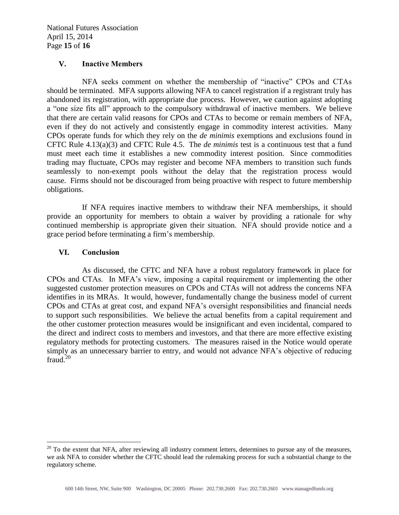## **V. Inactive Members**

NFA seeks comment on whether the membership of "inactive" CPOs and CTAs should be terminated. MFA supports allowing NFA to cancel registration if a registrant truly has abandoned its registration, with appropriate due process. However, we caution against adopting a "one size fits all" approach to the compulsory withdrawal of inactive members. We believe that there are certain valid reasons for CPOs and CTAs to become or remain members of NFA, even if they do not actively and consistently engage in commodity interest activities. Many CPOs operate funds for which they rely on the *de minimis* exemptions and exclusions found in CFTC Rule 4.13(a)(3) and CFTC Rule 4.5. The *de minimis* test is a continuous test that a fund must meet each time it establishes a new commodity interest position. Since commodities trading may fluctuate, CPOs may register and become NFA members to transition such funds seamlessly to non-exempt pools without the delay that the registration process would cause. Firms should not be discouraged from being proactive with respect to future membership obligations.

If NFA requires inactive members to withdraw their NFA memberships, it should provide an opportunity for members to obtain a waiver by providing a rationale for why continued membership is appropriate given their situation. NFA should provide notice and a grace period before terminating a firm's membership.

## **VI. Conclusion**

 $\overline{a}$ 

As discussed, the CFTC and NFA have a robust regulatory framework in place for CPOs and CTAs. In MFA's view, imposing a capital requirement or implementing the other suggested customer protection measures on CPOs and CTAs will not address the concerns NFA identifies in its MRAs. It would, however, fundamentally change the business model of current CPOs and CTAs at great cost, and expand NFA's oversight responsibilities and financial needs to support such responsibilities. We believe the actual benefits from a capital requirement and the other customer protection measures would be insignificant and even incidental, compared to the direct and indirect costs to members and investors, and that there are more effective existing regulatory methods for protecting customers. The measures raised in the Notice would operate simply as an unnecessary barrier to entry, and would not advance NFA's objective of reducing  $frac{1}{20}$ 

 $20$  To the extent that NFA, after reviewing all industry comment letters, determines to pursue any of the measures, we ask NFA to consider whether the CFTC should lead the rulemaking process for such a substantial change to the regulatory scheme.